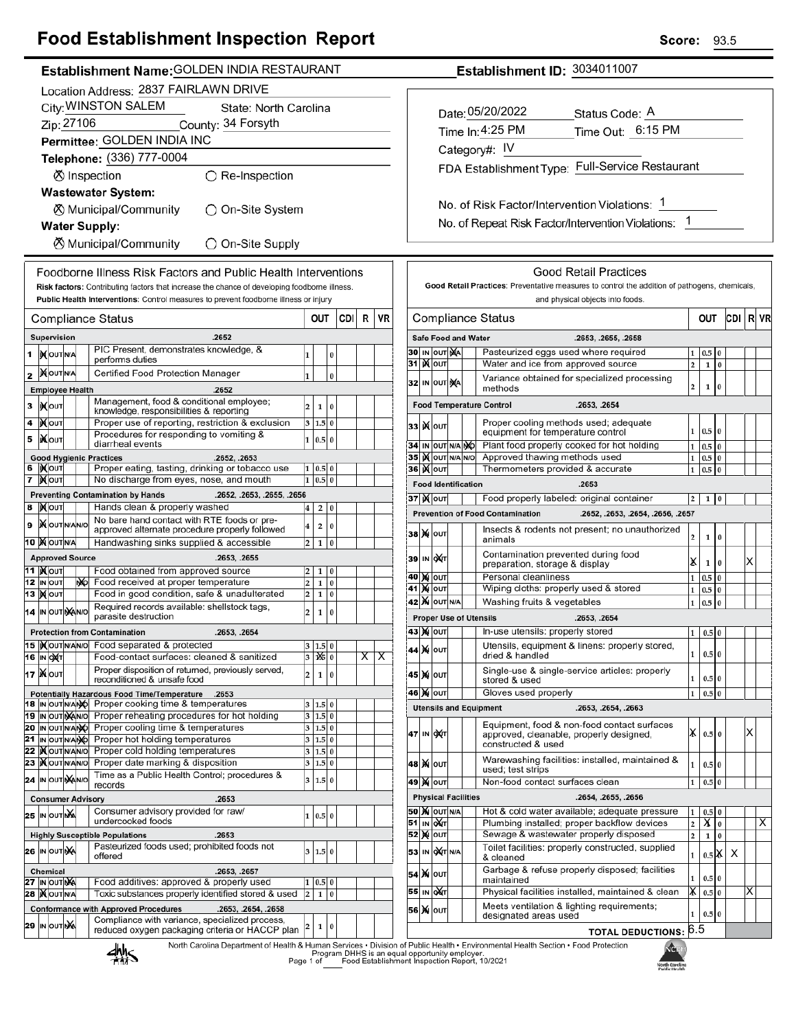## **Food Establishment Inspection Report**

| Establishment ID: 3034011007<br>Establishment Name: GOLDEN INDIA RESTAURANT                                              |                                                                                                                                                                                               |                  |                                                                                                                                                         |  |                                       |               |                            |  |                                                                                                                                                      |   |
|--------------------------------------------------------------------------------------------------------------------------|-----------------------------------------------------------------------------------------------------------------------------------------------------------------------------------------------|------------------|---------------------------------------------------------------------------------------------------------------------------------------------------------|--|---------------------------------------|---------------|----------------------------|--|------------------------------------------------------------------------------------------------------------------------------------------------------|---|
| Location Address: 2837 FAIRLAWN DRIVE                                                                                    |                                                                                                                                                                                               |                  |                                                                                                                                                         |  |                                       |               |                            |  |                                                                                                                                                      |   |
| City: WINSTON SALEM<br>State: North Carolina                                                                             |                                                                                                                                                                                               |                  |                                                                                                                                                         |  |                                       |               |                            |  |                                                                                                                                                      |   |
| Zip: 27106<br>County: 34 Forsyth                                                                                         |                                                                                                                                                                                               |                  |                                                                                                                                                         |  | Date: 05/20/2022<br>Status Code: A    |               |                            |  |                                                                                                                                                      |   |
| Permittee: GOLDEN INDIA INC                                                                                              |                                                                                                                                                                                               |                  |                                                                                                                                                         |  | Time In: 4:25 PM<br>Time Out: 6:15 PM |               |                            |  |                                                                                                                                                      |   |
|                                                                                                                          | Telephone: (336) 777-0004                                                                                                                                                                     |                  |                                                                                                                                                         |  |                                       | Category#: IV |                            |  |                                                                                                                                                      |   |
| ○ Re-Inspection<br>⊗ Inspection                                                                                          |                                                                                                                                                                                               |                  |                                                                                                                                                         |  |                                       |               |                            |  | FDA Establishment Type: Full-Service Restaurant                                                                                                      |   |
| <b>Wastewater System:</b>                                                                                                |                                                                                                                                                                                               |                  |                                                                                                                                                         |  |                                       |               |                            |  |                                                                                                                                                      |   |
| ◯ On-Site System<br>K Municipal/Community                                                                                |                                                                                                                                                                                               |                  |                                                                                                                                                         |  |                                       |               |                            |  | No. of Risk Factor/Intervention Violations: 1                                                                                                        |   |
|                                                                                                                          |                                                                                                                                                                                               |                  |                                                                                                                                                         |  |                                       |               |                            |  | No. of Repeat Risk Factor/Intervention Violations: 1                                                                                                 |   |
| <b>Water Supply:</b>                                                                                                     |                                                                                                                                                                                               |                  |                                                                                                                                                         |  |                                       |               |                            |  |                                                                                                                                                      |   |
| <b><math>\oslash</math> Municipal/Community</b><br>○ On-Site Supply                                                      |                                                                                                                                                                                               |                  |                                                                                                                                                         |  |                                       |               |                            |  |                                                                                                                                                      |   |
|                                                                                                                          | <b>Good Retail Practices</b><br>Foodborne Illness Risk Factors and Public Health Interventions                                                                                                |                  |                                                                                                                                                         |  |                                       |               |                            |  |                                                                                                                                                      |   |
|                                                                                                                          | Good Retail Practices: Preventative measures to control the addition of pathogens, chemicals,<br>Risk factors: Contributing factors that increase the chance of developing foodborne illness. |                  |                                                                                                                                                         |  |                                       |               |                            |  |                                                                                                                                                      |   |
| Public Health Interventions: Control measures to prevent foodborne illness or injury<br>and physical objects into foods. |                                                                                                                                                                                               |                  |                                                                                                                                                         |  |                                       |               |                            |  |                                                                                                                                                      |   |
|                                                                                                                          |                                                                                                                                                                                               |                  | CDI<br>R<br>VR<br>OUT<br>Compliance Status                                                                                                              |  |                                       |               |                            |  | CDI RV<br><b>Compliance Status</b><br>OUT                                                                                                            |   |
|                                                                                                                          | Supervision                                                                                                                                                                                   |                  | .2652                                                                                                                                                   |  |                                       |               |                            |  | Safe Food and Water<br>.2653, .2655, .2658                                                                                                           |   |
| 1                                                                                                                        | <b>IN</b> OUT N/A                                                                                                                                                                             |                  | PIC Present, demonstrates knowledge, &<br>1<br>0                                                                                                        |  |                                       |               | 30 IN OUT NA               |  | Pasteurized eggs used where required<br>$0.5\vert 0$<br>1                                                                                            |   |
|                                                                                                                          | <b>MOUTNA</b>                                                                                                                                                                                 |                  | performs duties<br>Certified Food Protection Manager                                                                                                    |  | 31 <b>K</b> out                       |               |                            |  | Water and ice from approved source<br>$\overline{\mathbf{c}}$<br>$1\,0$                                                                              |   |
| 2                                                                                                                        | <b>Employee Health</b>                                                                                                                                                                        |                  | $\mathbf{1}$<br>$\pmb{0}$<br>.2652                                                                                                                      |  |                                       |               | 32 IN OUT NA               |  | Variance obtained for specialized processing<br>$\bf{0}$<br>2<br>1<br>methods                                                                        |   |
| 3                                                                                                                        |                                                                                                                                                                                               |                  | Management, food & conditional employee;                                                                                                                |  |                                       |               |                            |  | <b>Food Temperature Control</b><br>.2653, .2654                                                                                                      |   |
|                                                                                                                          | <b>IXOUT</b>                                                                                                                                                                                  |                  | $\overline{2}$<br>$1\vert$<br>l 0<br>knowledge, responsibilities & reporting                                                                            |  |                                       |               |                            |  |                                                                                                                                                      |   |
| 4                                                                                                                        | <b>XOUT</b>                                                                                                                                                                                   |                  | Proper use of reporting, restriction & exclusion<br>3   1.5   0<br>Procedures for responding to vomiting &                                              |  | <b>33 ) Колт</b>                      |               |                            |  | Proper cooling methods used; adequate<br>$0.5 \ 0$<br>$\mathbf{1}$<br>equipment for temperature control                                              |   |
| 5                                                                                                                        | <b>XOUT</b>                                                                                                                                                                                   |                  | 1 0.5 0<br>diarrheal events                                                                                                                             |  |                                       |               | 34 IN OUT N/A NO           |  | Plant food properly cooked for hot holding<br>$0.5\vert 0$<br>$\mathbf 1$                                                                            |   |
|                                                                                                                          | <b>Good Hygienic Practices</b><br>6  Kout                                                                                                                                                     |                  | .2652, .2653<br>Proper eating, tasting, drinking or tobacco use<br>1   0.5   0                                                                          |  | 36   OUT                              |               | 35 IN OUT N/A N/O          |  | Approved thawing methods used<br>$0.5\vert 0$<br>$\mathbf{1}$<br>Thermometers provided & accurate<br>0.5 0<br>$\mathbf{1}$                           |   |
|                                                                                                                          | 7   Nout                                                                                                                                                                                      |                  | $1 \ 0.5 \ 0$<br>No discharge from eyes, nose, and mouth                                                                                                |  |                                       |               | <b>Food Identification</b> |  | .2653                                                                                                                                                |   |
|                                                                                                                          |                                                                                                                                                                                               |                  | <b>Preventing Contamination by Hands</b><br>.2652, .2653, .2655, .2656                                                                                  |  | <b>37   М</b> олт                     |               |                            |  | Food properly labeled: original container<br>$1\vert 0$<br> 2                                                                                        |   |
|                                                                                                                          | 8 Mour                                                                                                                                                                                        |                  | Hands clean & properly washed<br>2 0<br>$\vert 4 \vert$                                                                                                 |  |                                       |               |                            |  | <b>Prevention of Food Contamination</b><br>.2652, .2653, .2654, .2656, .2657                                                                         |   |
| 9                                                                                                                        | <b>X</b> OUTNANO                                                                                                                                                                              |                  | No bare hand contact with RTE foods or pre-<br>$\overline{\mathbf{4}}$<br>$\overline{a}$<br>$\pmb{0}$<br>approved alternate procedure properly followed |  | <b>38 X о</b> UТ                      |               |                            |  | Insects & rodents not present; no unauthorized                                                                                                       |   |
|                                                                                                                          | 10 MOUTNA                                                                                                                                                                                     |                  | Handwashing sinks supplied & accessible<br>$2 \mid 1 \mid 0$                                                                                            |  |                                       |               |                            |  | 2<br>1<br>$\vert$ 0<br>animals                                                                                                                       |   |
|                                                                                                                          | <b>Approved Source</b>                                                                                                                                                                        |                  | .2653, .2655                                                                                                                                            |  | 39 IN OXT                             |               |                            |  | Contamination prevented during food<br>X<br>$1\vert 0$<br>preparation, storage & display                                                             |   |
|                                                                                                                          | 11   <b>MOUT</b>                                                                                                                                                                              |                  | Food obtained from approved source<br>$\overline{2}$<br>$1 \vert 0$<br>Food received at proper temperature                                              |  | 40 M OUT                              |               |                            |  | Personal cleanliness<br>$0.5\vert 0$<br>$\mathbf 1$                                                                                                  |   |
|                                                                                                                          | 12 IN OUT<br>13   <b>X</b>   оит                                                                                                                                                              | N <sub>D</sub> O | $\overline{2}$<br>1 0<br>Food in good condition, safe & unadulterated<br>$\overline{2}$<br>$1 \vert 0$                                                  |  | 41   X   оит                          |               |                            |  | Wiping cloths: properly used & stored<br>$0.5\vert 0$<br>$\mathbf 1$                                                                                 |   |
|                                                                                                                          | 14 IN OUT NAINO                                                                                                                                                                               |                  | Required records available: shellstock tags,<br>$\overline{\mathbf{c}}$<br>$\mathbf{1}$<br>0                                                            |  |                                       |               | <b>42 X</b> OUT N/A        |  | $\mathbf 1$<br>0.5<br>$\bf{0}$<br>Washing fruits & vegetables                                                                                        |   |
|                                                                                                                          |                                                                                                                                                                                               |                  | parasite destruction                                                                                                                                    |  |                                       |               |                            |  | <b>Proper Use of Utensils</b><br>.2653, .2654                                                                                                        |   |
|                                                                                                                          |                                                                                                                                                                                               |                  | .2653, .2654<br><b>Protection from Contamination</b><br>15  Xout NAVO Food separated & protected<br>3   1.5   0                                         |  | 43 ) олт                              |               |                            |  | In-use utensils: properly stored<br>$1 \ 0.5 \ 0$<br>Utensils, equipment & linens: properly stored,                                                  |   |
|                                                                                                                          | <b>16 IN OXT</b>                                                                                                                                                                              |                  | Food-contact surfaces: cleaned & sanitized<br>$3 \mathbf{X} \mathbf{0}$<br>$\overline{\mathsf{x}}$<br>х                                                 |  | 44 X OUT                              |               |                            |  | $0.5\,0$<br>1<br>dried & handled                                                                                                                     |   |
|                                                                                                                          | 17   N OUT                                                                                                                                                                                    |                  | Proper disposition of returned, previously served,<br>$\overline{\mathbf{c}}$<br>1 0                                                                    |  | 45 M OUT                              |               |                            |  | Single-use & single-service articles: properly                                                                                                       |   |
|                                                                                                                          |                                                                                                                                                                                               |                  | reconditioned & unsafe food<br>Potentially Hazardous Food Time/Temperature<br>.2653                                                                     |  | 46 X OUT                              |               |                            |  | 0.5 0<br>1<br>stored & used<br>Gloves used properly<br>0.5 0<br>$\mathbf{1}$                                                                         |   |
|                                                                                                                          |                                                                                                                                                                                               |                  | 18 IN OUT N/ANO Proper cooking time & temperatures<br>3   1.5   0                                                                                       |  |                                       |               |                            |  | <b>Utensils and Equipment</b><br>.2653, .2654, .2663                                                                                                 |   |
|                                                                                                                          | 19 IN OUT MANO                                                                                                                                                                                |                  | Proper reheating procedures for hot holding<br>3   1.5   0                                                                                              |  |                                       |               |                            |  | Equipment, food & non-food contact surfaces                                                                                                          |   |
|                                                                                                                          | 20 IN OUTNANO<br>21 IN OUT N/ANO                                                                                                                                                              |                  | Proper cooling time & temperatures<br>3   1.5   0<br>Proper hot holding temperatures<br>3 1.5 0                                                         |  | 47 IN OXT                             |               |                            |  | $\mathsf{X}$ 0.5 0<br>Х<br>approved, cleanable, properly designed,                                                                                   |   |
|                                                                                                                          | 22   OUTNANO                                                                                                                                                                                  |                  | Proper cold holding temperatures<br>3   1.5   0                                                                                                         |  |                                       |               |                            |  | constructed & used                                                                                                                                   |   |
|                                                                                                                          | 23   OUTNANO                                                                                                                                                                                  |                  | Proper date marking & disposition<br>3   1.5   0                                                                                                        |  | <b>48 X OUT</b>                       |               |                            |  | Warewashing facilities: installed, maintained &<br>$0.5\,0$<br>1<br>used; test strips                                                                |   |
|                                                                                                                          | 24 IN OUT MANO                                                                                                                                                                                |                  | Time as a Public Health Control; procedures &<br>3   1.5   0<br>records                                                                                 |  | 49 X OUT                              |               |                            |  | Non-food contact surfaces clean<br>$0.5\vert 0$<br>1                                                                                                 |   |
|                                                                                                                          | <b>Consumer Advisory</b>                                                                                                                                                                      |                  | .2653                                                                                                                                                   |  |                                       |               | <b>Physical Facilities</b> |  | .2654, .2655, .2656                                                                                                                                  |   |
|                                                                                                                          | 25 IN OUT NA                                                                                                                                                                                  |                  | Consumer advisory provided for raw/<br>1 0.5 0<br>undercooked foods                                                                                     |  |                                       |               | <b>50 X OUT N/A</b>        |  | Hot & cold water available; adequate pressure<br>$0.5\,0$<br>$\mathbf{1}$                                                                            |   |
|                                                                                                                          |                                                                                                                                                                                               |                  | <b>Highly Susceptible Populations</b><br>.2653                                                                                                          |  | 51 IN OUT<br><b>52 MOUT</b>           |               |                            |  | X <sub>0</sub><br>Plumbing installed; proper backflow devices<br>$\mathbf 2$<br>Sewage & wastewater properly disposed<br>$\overline{2}$<br>$1\quad0$ | ᠈ |
|                                                                                                                          | 26 IN OUT NA                                                                                                                                                                                  |                  | Pasteurized foods used; prohibited foods not<br>3   1.5   0                                                                                             |  |                                       |               | 53 IN OXT N/A              |  | Toilet facilities: properly constructed, supplied                                                                                                    |   |
|                                                                                                                          |                                                                                                                                                                                               |                  | offered                                                                                                                                                 |  |                                       |               |                            |  | $0.5$ $\mathsf{X}$ $\mathsf{X}$<br>$\mathbf 1$<br>& cleaned                                                                                          |   |
|                                                                                                                          | Chemical<br>27 IN OUT NA                                                                                                                                                                      |                  | .2653, .2657<br>Food additives: approved & properly used<br>1   0.5   0                                                                                 |  | 54 X олт                              |               |                            |  | Garbage & refuse properly disposed; facilities<br>0.5 0<br>1<br>maintained                                                                           |   |
|                                                                                                                          | 28   OUTNA                                                                                                                                                                                    |                  | Toxic substances properly identified stored & used<br>2   1   0                                                                                         |  | 55 IN OXT                             |               |                            |  | Physical facilities installed, maintained & clean<br> X<br>$0.5\,0$<br>ΙX                                                                            |   |
|                                                                                                                          |                                                                                                                                                                                               |                  | <b>Conformance with Approved Procedures</b><br>.2653, .2654, .2658                                                                                      |  | <b>56 X OUT</b>                       |               |                            |  | Meets ventilation & lighting requirements;<br>$0.5\vert 0$<br>1<br>designated areas used                                                             |   |
|                                                                                                                          | 29 In OUT <b>X</b>                                                                                                                                                                            |                  | Compliance with variance, specialized process,<br>$\pmb{0}$<br>2<br>1<br>reduced oxygen packaging criteria or HACCP plan                                |  |                                       |               |                            |  | TOTAL DEDUCTIONS: 6.5                                                                                                                                |   |
|                                                                                                                          |                                                                                                                                                                                               |                  |                                                                                                                                                         |  |                                       |               |                            |  |                                                                                                                                                      |   |

₩

NG North Carolina<br>Public Health

**Score: 93.5**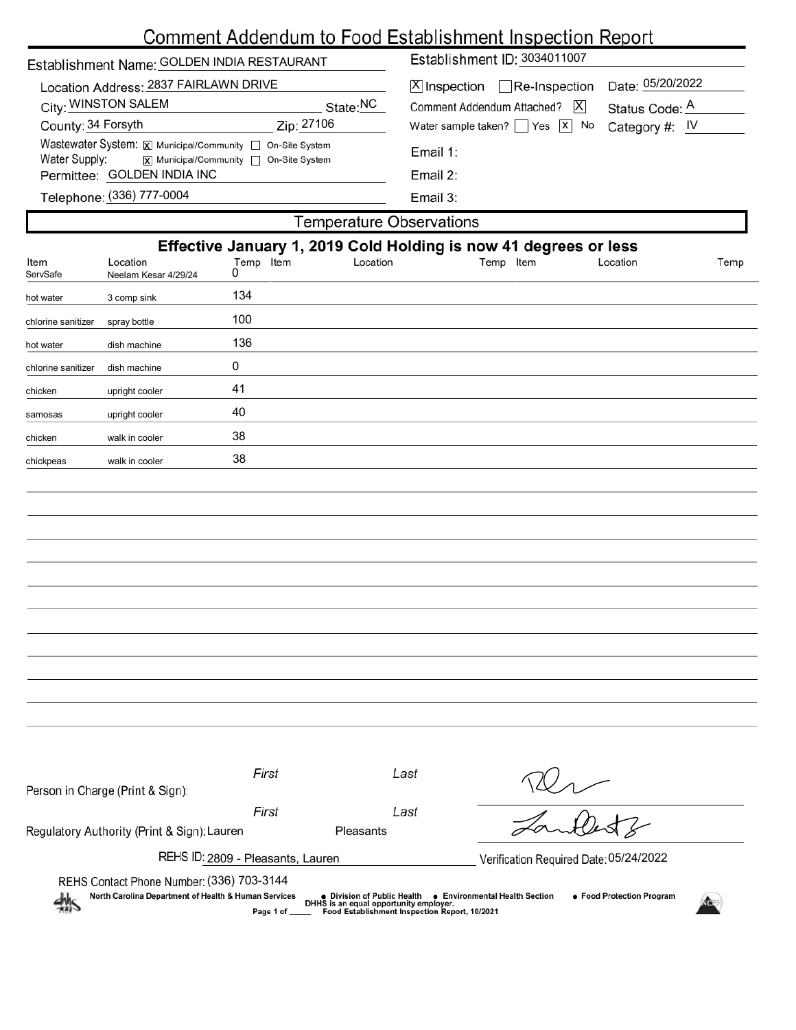# Comment Addendum to Food Establishment Inspection Report

|                    |                                             | Comment Addendum to Food Establishment inspection Report                                              |          |                                                       |                |          |      |  |  |
|--------------------|---------------------------------------------|-------------------------------------------------------------------------------------------------------|----------|-------------------------------------------------------|----------------|----------|------|--|--|
|                    | Establishment Name: GOLDEN INDIA RESTAURANT |                                                                                                       |          | Establishment ID: 3034011007                          |                |          |      |  |  |
|                    | Location Address: 2837 FAIRLAWN DRIVE       |                                                                                                       |          | Date: 05/20/2022<br>$X$ Inspection Re-Inspection      |                |          |      |  |  |
|                    | City: WINSTON SALEM                         |                                                                                                       | State:NC | Comment Addendum Attached?   X                        | Status Code: A |          |      |  |  |
| County: 34 Forsyth |                                             | Zip: 27106                                                                                            |          | Water sample taken? Yes<br>$ x $ No<br>Category #: IV |                |          |      |  |  |
| Water Supply:      |                                             | Wastewater System: X Municipal/Community   On-Site System<br>[x] Municipal/Community □ On-Site System |          | Email 1:                                              |                |          |      |  |  |
|                    | Permittee: GOLDEN INDIA INC                 |                                                                                                       |          | Email 2:                                              |                |          |      |  |  |
|                    | Telephone: (336) 777-0004                   |                                                                                                       |          | Email 3:                                              |                |          |      |  |  |
|                    |                                             |                                                                                                       |          | <b>Temperature Observations</b>                       |                |          |      |  |  |
|                    |                                             | Effective January 1, 2019 Cold Holding is now 41 degrees or less                                      |          |                                                       |                |          |      |  |  |
| Item<br>ServSafe   | Location<br>Neelam Kesar 4/29/24            | Temp Item<br>0                                                                                        | Location |                                                       | Temp Item      | Location | Temp |  |  |
| hot water          | 3 comp sink                                 | 134                                                                                                   |          |                                                       |                |          |      |  |  |
| chlorine sanitizer | spray bottle                                | 100                                                                                                   |          |                                                       |                |          |      |  |  |
| hot water          | dish machine                                | 136                                                                                                   |          |                                                       |                |          |      |  |  |
| chlorine sanitizer | dish machine                                | 0                                                                                                     |          |                                                       |                |          |      |  |  |
| chicken            | upright cooler                              | 41                                                                                                    |          |                                                       |                |          |      |  |  |
| samosas            | upright cooler                              | 40                                                                                                    |          |                                                       |                |          |      |  |  |
| chicken            | walk in cooler                              | 38                                                                                                    |          |                                                       |                |          |      |  |  |
| chickpeas          | walk in cooler                              | 38                                                                                                    |          |                                                       |                |          |      |  |  |
|                    |                                             |                                                                                                       |          |                                                       |                |          |      |  |  |
|                    |                                             |                                                                                                       |          |                                                       |                |          |      |  |  |
|                    |                                             |                                                                                                       |          |                                                       |                |          |      |  |  |
|                    |                                             |                                                                                                       |          |                                                       |                |          |      |  |  |
|                    |                                             |                                                                                                       |          |                                                       |                |          |      |  |  |

| Person in Charge (Print & Sign):                                                                                                                                                                                                                                         | First                                  | Last             |  |  |  |  |
|--------------------------------------------------------------------------------------------------------------------------------------------------------------------------------------------------------------------------------------------------------------------------|----------------------------------------|------------------|--|--|--|--|
|                                                                                                                                                                                                                                                                          | First                                  | Last             |  |  |  |  |
| Regulatory Authority (Print & Sign): Lauren                                                                                                                                                                                                                              |                                        | <b>Pleasants</b> |  |  |  |  |
| REHS ID: 2809 - Pleasants, Lauren                                                                                                                                                                                                                                        | Verification Required Date: 05/24/2022 |                  |  |  |  |  |
| REHS Contact Phone Number: (336) 703-3144                                                                                                                                                                                                                                |                                        |                  |  |  |  |  |
| North Carolina Department of Health & Human Services<br>• Food Protection Program<br><b>Environmental Health Section</b><br>• Division of Public Health<br>熱<br>DHHS is an equal opportunity employer.<br>Food Establishment Inspection Report, 10/2021<br>Page 1 of ___ |                                        |                  |  |  |  |  |